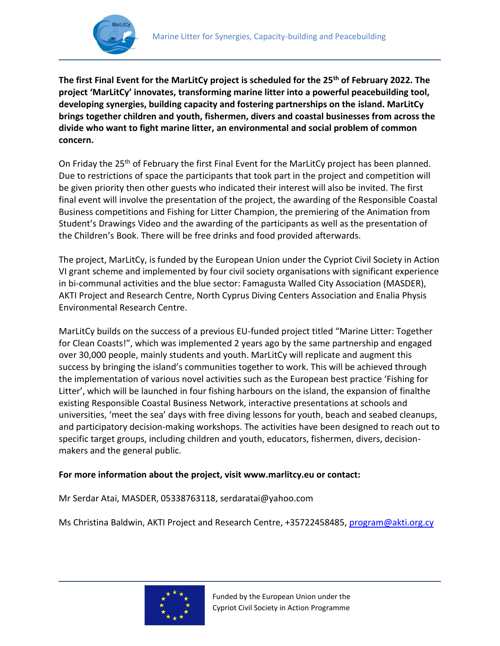



!

**The first Final Event for the MarLitCy project is scheduled for the 25th of February 2022. The project 'MarLitCy' innovates, transforming marine litter into a powerful peacebuilding tool, developing synergies, building capacity and fostering partnerships on the island. MarLitCy brings together children and youth, fishermen, divers and coastal businesses from across the divide who want to fight marine litter, an environmental and social problem of common concern.** 

On Friday the 25<sup>th</sup> of February the first Final Event for the MarLitCy project has been planned. Due to restrictions of space the participants that took part in the project and competition will be given priority then other guests who indicated their interest will also be invited. The first final event will involve the presentation of the project, the awarding of the Responsible Coastal Business competitions and Fishing for Litter Champion, the premiering of the Animation from Student's Drawings Video and the awarding of the participants as well as the presentation of the Children's Book. There will be free drinks and food provided afterwards.

The project, MarLitCy, is funded by the European Union under the Cypriot Civil Society in Action VI grant scheme and implemented by four civil society organisations with significant experience in bi-communal activities and the blue sector: Famagusta Walled City Association (MASDER), AKTI Project and Research Centre, North Cyprus Diving Centers Association and Enalia Physis Environmental Research Centre.

MarLitCy builds on the success of a previous EU-funded project titled "Marine Litter: Together for Clean Coasts!", which was implemented 2 years ago by the same partnership and engaged over 30,000 people, mainly students and youth. MarLitCy will replicate and augment this success by bringing the island's communities together to work. This will be achieved through the implementation of various novel activities such as the European best practice 'Fishing for Litter', which will be launched in four fishing harbours on the island, the expansion of finalthe existing Responsible Coastal Business Network, interactive presentations at schools and universities, 'meet the sea' days with free diving lessons for youth, beach and seabed cleanups, and participatory decision-making workshops. The activities have been designed to reach out to specific target groups, including children and youth, educators, fishermen, divers, decisionmakers and the general public.

## **For more information about the project, visit www.marlitcy.eu or contact:**

Mr Serdar Atai, MASDER, 05338763118, serdaratai@yahoo.com

Ms Christina Baldwin, AKTI Project and Research Centre, +35722458485[, program@akti.org.cy](mailto:program@akti.org.cy)